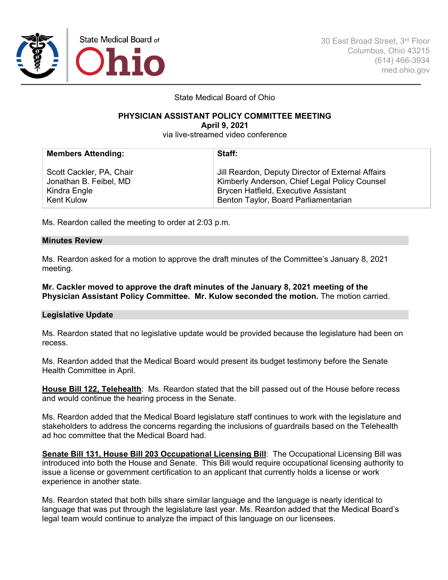

State Medical Board of Ohio

### **PHYSICIAN ASSISTANT POLICY COMMITTEE MEETING April 9, 2021**

via live-streamed video conference

| <b>Members Attending:</b> | Staff:                                            |
|---------------------------|---------------------------------------------------|
| Scott Cackler, PA, Chair  | Jill Reardon, Deputy Director of External Affairs |
| Jonathan B. Feibel, MD    | Kimberly Anderson, Chief Legal Policy Counsel     |
| Kindra Engle              | Brycen Hatfield, Executive Assistant              |
| Kent Kulow                | Benton Taylor, Board Parliamentarian              |

Ms. Reardon called the meeting to order at 2:03 p.m.

## **Minutes Review**

Ms. Reardon asked for a motion to approve the draft minutes of the Committee's January 8, 2021 meeting.

**Mr. Cackler moved to approve the draft minutes of the January 8, 2021 meeting of the Physician Assistant Policy Committee. Mr. Kulow seconded the motion.** The motion carried.

## **Legislative Update**

Ms. Reardon stated that no legislative update would be provided because the legislature had been on recess.

Ms. Reardon added that the Medical Board would present its budget testimony before the Senate Health Committee in April.

**House Bill 122, Telehealth**: Ms. Reardon stated that the bill passed out of the House before recess and would continue the hearing process in the Senate.

Ms. Reardon added that the Medical Board legislature staff continues to work with the legislature and stakeholders to address the concerns regarding the inclusions of guardrails based on the Telehealth ad hoc committee that the Medical Board had.

**Senate Bill 131, House Bill 203 Occupational Licensing Bill:** The Occupational Licensing Bill was introduced into both the House and Senate. This Bill would require occupational licensing authority to issue a license or government certification to an applicant that currently holds a license or work experience in another state.

Ms. Reardon stated that both bills share similar language and the language is nearly identical to language that was put through the legislature last year. Ms. Reardon added that the Medical Board's legal team would continue to analyze the impact of this language on our licensees.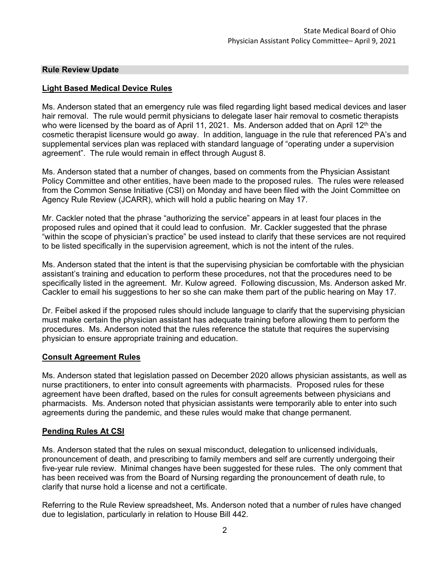# **Rule Review Update**

# **Light Based Medical Device Rules**

Ms. Anderson stated that an emergency rule was filed regarding light based medical devices and laser hair removal. The rule would permit physicians to delegate laser hair removal to cosmetic therapists who were licensed by the board as of April 11, 2021. Ms. Anderson added that on April 12<sup>th</sup> the cosmetic therapist licensure would go away. In addition, language in the rule that referenced PA's and supplemental services plan was replaced with standard language of "operating under a supervision agreement". The rule would remain in effect through August 8.

Ms. Anderson stated that a number of changes, based on comments from the Physician Assistant Policy Committee and other entities, have been made to the proposed rules. The rules were released from the Common Sense Initiative (CSI) on Monday and have been filed with the Joint Committee on Agency Rule Review (JCARR), which will hold a public hearing on May 17.

Mr. Cackler noted that the phrase "authorizing the service" appears in at least four places in the proposed rules and opined that it could lead to confusion. Mr. Cackler suggested that the phrase "within the scope of physician's practice" be used instead to clarify that these services are not required to be listed specifically in the supervision agreement, which is not the intent of the rules.

Ms. Anderson stated that the intent is that the supervising physician be comfortable with the physician assistant's training and education to perform these procedures, not that the procedures need to be specifically listed in the agreement. Mr. Kulow agreed. Following discussion, Ms. Anderson asked Mr. Cackler to email his suggestions to her so she can make them part of the public hearing on May 17.

Dr. Feibel asked if the proposed rules should include language to clarify that the supervising physician must make certain the physician assistant has adequate training before allowing them to perform the procedures. Ms. Anderson noted that the rules reference the statute that requires the supervising physician to ensure appropriate training and education.

## **Consult Agreement Rules**

Ms. Anderson stated that legislation passed on December 2020 allows physician assistants, as well as nurse practitioners, to enter into consult agreements with pharmacists. Proposed rules for these agreement have been drafted, based on the rules for consult agreements between physicians and pharmacists. Ms. Anderson noted that physician assistants were temporarily able to enter into such agreements during the pandemic, and these rules would make that change permanent.

# **Pending Rules At CSI**

Ms. Anderson stated that the rules on sexual misconduct, delegation to unlicensed individuals, pronouncement of death, and prescribing to family members and self are currently undergoing their five-year rule review. Minimal changes have been suggested for these rules. The only comment that has been received was from the Board of Nursing regarding the pronouncement of death rule, to clarify that nurse hold a license and not a certificate.

Referring to the Rule Review spreadsheet, Ms. Anderson noted that a number of rules have changed due to legislation, particularly in relation to House Bill 442.